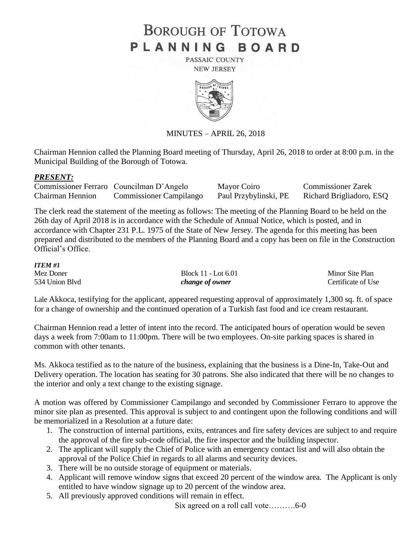# **BOROUGH OF TOTOWA** PLANNING BOARD

PASSAIC COUNTY **NEW JERSEY** 



MINUTES – APRIL 26, 2018

Chairman Hennion called the Planning Board meeting of Thursday, April 26, 2018 to order at 8:00 p.m. in the Municipal Building of the Borough of Totowa.

### *PRESENT:*

|                         | Commissioner Ferraro Councilman D'Angelo | Mayor Coiro           | <b>Commissioner Zarek</b> |
|-------------------------|------------------------------------------|-----------------------|---------------------------|
| <b>Chairman Hennion</b> | <b>Commissioner Campilango</b>           | Paul Przybylinski, PE | Richard Brigliadoro, ESQ  |

The clerk read the statement of the meeting as follows: The meeting of the Planning Board to be held on the 26th day of April 2018 is in accordance with the Schedule of Annual Notice, which is posted, and in accordance with Chapter 231 P.L. 1975 of the State of New Jersey. The agenda for this meeting has been prepared and distributed to the members of the Planning Board and a copy has been on file in the Construction Official's Office.

| <b>ITEM#1</b>  |                     |                    |
|----------------|---------------------|--------------------|
| Mez Doner      | Block 11 - Lot 6.01 | Minor Site Plan    |
| 534 Union Blvd | change of owner     | Certificate of Use |

Lale Akkoca, testifying for the applicant, appeared requesting approval of approximately 1,300 sq. ft. of space for a change of ownership and the continued operation of a Turkish fast food and ice cream restaurant.

Chairman Hennion read a letter of intent into the record. The anticipated hours of operation would be seven days a week from 7:00am to 11:00pm. There will be two employees. On-site parking spaces is shared in common with other tenants.

Ms. Akkoca testified as to the nature of the business, explaining that the business is a Dine-In, Take-Out and Delivery operation. The location has seating for 30 patrons. She also indicated that there will be no changes to the interior and only a text change to the existing signage.

A motion was offered by Commissioner Campilango and seconded by Commissioner Ferraro to approve the minor site plan as presented. This approval is subject to and contingent upon the following conditions and will be memorialized in a Resolution at a future date:

- 1. The construction of internal partitions, exits, entrances and fire safety devices are subject to and require the approval of the fire sub-code official, the fire inspector and the building inspector.
- 2. The applicant will supply the Chief of Police with an emergency contact list and will also obtain the approval of the Police Chief in regards to all alarms and security devices.
- 3. There will be no outside storage of equipment or materials.
- 4. Applicant will remove window signs that exceed 20 percent of the window area. The Applicant is only entitled to have window signage up to 20 percent of the window area.
- 5. All previously approved conditions will remain in effect.

Six agreed on a roll call vote……….6-0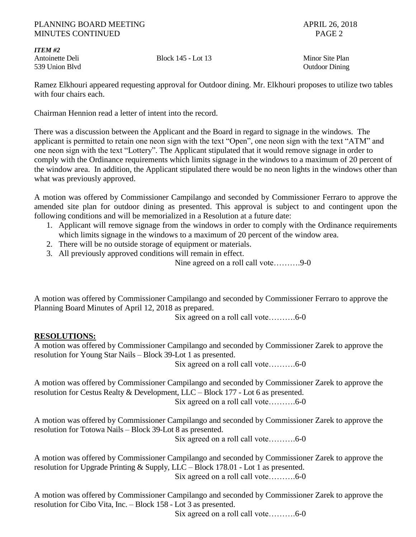### PLANNING BOARD MEETING APRIL 26, 2018 MINUTES CONTINUED PAGE 2

*ITEM #2* 539 Union Blvd Outdoor Dining

Antoinette Deli Block 145 - Lot 13 Minor Site Plan

Ramez Elkhouri appeared requesting approval for Outdoor dining. Mr. Elkhouri proposes to utilize two tables with four chairs each.

Chairman Hennion read a letter of intent into the record.

There was a discussion between the Applicant and the Board in regard to signage in the windows. The applicant is permitted to retain one neon sign with the text "Open", one neon sign with the text "ATM" and one neon sign with the text "Lottery". The Applicant stipulated that it would remove signage in order to comply with the Ordinance requirements which limits signage in the windows to a maximum of 20 percent of the window area. In addition, the Applicant stipulated there would be no neon lights in the windows other than what was previously approved.

A motion was offered by Commissioner Campilango and seconded by Commissioner Ferraro to approve the amended site plan for outdoor dining as presented. This approval is subject to and contingent upon the following conditions and will be memorialized in a Resolution at a future date:

- 1. Applicant will remove signage from the windows in order to comply with the Ordinance requirements which limits signage in the windows to a maximum of 20 percent of the window area.
- 2. There will be no outside storage of equipment or materials.
- 3. All previously approved conditions will remain in effect.

Nine agreed on a roll call vote……….9-0

A motion was offered by Commissioner Campilango and seconded by Commissioner Ferraro to approve the Planning Board Minutes of April 12, 2018 as prepared.

Six agreed on a roll call vote……….6-0

## **RESOLUTIONS:**

A motion was offered by Commissioner Campilango and seconded by Commissioner Zarek to approve the resolution for Young Star Nails – Block 39-Lot 1 as presented.

Six agreed on a roll call vote……….6-0

A motion was offered by Commissioner Campilango and seconded by Commissioner Zarek to approve the resolution for Cestus Realty & Development, LLC – Block 177 - Lot 6 as presented.

Six agreed on a roll call vote……….6-0

A motion was offered by Commissioner Campilango and seconded by Commissioner Zarek to approve the resolution for Totowa Nails – Block 39-Lot 8 as presented.

Six agreed on a roll call vote……….6-0

A motion was offered by Commissioner Campilango and seconded by Commissioner Zarek to approve the resolution for Upgrade Printing & Supply, LLC – Block 178.01 - Lot 1 as presented. Six agreed on a roll call vote……….6-0

A motion was offered by Commissioner Campilango and seconded by Commissioner Zarek to approve the resolution for Cibo Vita, Inc. – Block 158 - Lot 3 as presented.

Six agreed on a roll call vote……….6-0